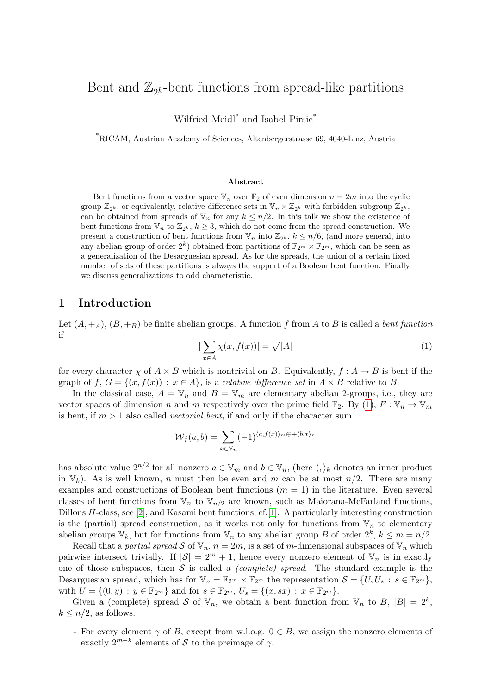# Bent and  $\mathbb{Z}_{2^k}$ -bent functions from spread-like partitions

Wilfried Meidl<sup>\*</sup> and Isabel Pirsic<sup>\*</sup>

\*RICAM, Austrian Academy of Sciences, Altenbergerstrasse 69, 4040-Linz, Austria

#### Abstract

Bent functions from a vector space  $\mathbb{V}_n$  over  $\mathbb{F}_2$  of even dimension  $n = 2m$  into the cyclic group  $\mathbb{Z}_{2^k}$ , or equivalently, relative difference sets in  $\mathbb{V}_n \times \mathbb{Z}_{2^k}$  with forbidden subgroup  $\mathbb{Z}_{2^k}$ , can be obtained from spreads of  $\mathbb{V}_n$  for any  $k \leq n/2$ . In this talk we show the existence of bent functions from  $\mathbb{V}_n$  to  $\mathbb{Z}_{2^k}$ ,  $k \geq 3$ , which do not come from the spread construction. We present a construction of bent functions from  $\mathbb{V}_n$  into  $\mathbb{Z}_{2^k}$ ,  $k \leq n/6$ , (and more general, into any abelian group of order  $2^k$ ) obtained from partitions of  $\mathbb{F}_{2^m} \times \mathbb{F}_{2^m}$ , which can be seen as a generalization of the Desarguesian spread. As for the spreads, the union of a certain fixed number of sets of these partitions is always the support of a Boolean bent function. Finally we discuss generalizations to odd characteristic.

## 1 Introduction

<span id="page-0-0"></span>Let  $(A, +_A)$ ,  $(B, +_B)$  be finite abelian groups. A function f from A to B is called a bent function if

$$
|\sum_{x \in A} \chi(x, f(x))| = \sqrt{|A|} \tag{1}
$$

for every character  $\chi$  of  $A \times B$  which is nontrivial on B. Equivalently,  $f : A \rightarrow B$  is bent if the graph of f,  $G = \{(x, f(x)) : x \in A\}$ , is a relative difference set in  $A \times B$  relative to B.

In the classical case,  $A = V_n$  and  $B = V_m$  are elementary abelian 2-groups, i.e., they are vector spaces of dimension n and m respectively over the prime field  $\mathbb{F}_2$ . By [\(1\)](#page-0-0),  $F : \mathbb{V}_n \to \mathbb{V}_m$ is bent, if  $m > 1$  also called *vectorial bent*, if and only if the character sum

$$
\mathcal{W}_f(a,b) = \sum_{x \in \mathbb{V}_n} (-1)^{\langle a, f(x) \rangle_m \oplus \langle b, x \rangle_n}
$$

has absolute value  $2^{n/2}$  for all nonzero  $a \in \mathbb{V}_m$  and  $b \in \mathbb{V}_n$ , (here  $\langle, \rangle_k$  denotes an inner product in  $V_k$ ). As is well known, n must then be even and m can be at most  $n/2$ . There are many examples and constructions of Boolean bent functions  $(m = 1)$  in the literature. Even several classes of bent functions from  $V_n$  to  $V_{n/2}$  are known, such as Maiorana-McFarland functions, Dillons H-class, see [\[2\]](#page-3-0), and Kasami bent functions, cf.[\[1\]](#page-3-1). A particularly interesting construction is the (partial) spread construction, as it works not only for functions from  $V_n$  to elementary abelian groups  $\mathbb{V}_k$ , but for functions from  $\mathbb{V}_n$  to any abelian group B of order  $2^k$ ,  $k \leq m = n/2$ .

Recall that a partial spread S of  $\mathbb{V}_n$ ,  $n = 2m$ , is a set of m-dimensional subspaces of  $\mathbb{V}_n$  which pairwise intersect trivially. If  $|\mathcal{S}| = 2^m + 1$ , hence every nonzero element of  $\mathbb{V}_n$  is in exactly one of those subspaces, then  $S$  is called a *(complete) spread*. The standard example is the Desarguesian spread, which has for  $\mathbb{V}_n = \mathbb{F}_{2^m} \times \mathbb{F}_{2^m}$  the representation  $\mathcal{S} = \{U, U_s : s \in \mathbb{F}_{2^m}\},$ with  $U = \{(0, y) : y \in \mathbb{F}_{2^m}\}\$ and for  $s \in \mathbb{F}_{2^m}, U_s = \{(x, sx) : x \in \mathbb{F}_{2^m}\}\.$ 

Given a (complete) spread S of  $\mathbb{V}_n$ , we obtain a bent function from  $\mathbb{V}_n$  to B,  $|B| = 2^k$ ,  $k \leq n/2$ , as follows.

- For every element  $\gamma$  of B, except from w.l.o.g.  $0 \in B$ , we assign the nonzero elements of exactly  $2^{m-k}$  elements of S to the preimage of  $\gamma$ .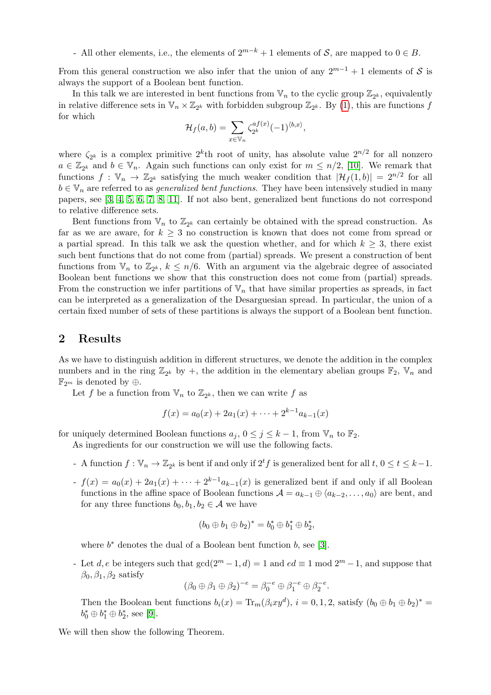- All other elements, i.e., the elements of  $2^{m-k} + 1$  elements of S, are mapped to  $0 \in B$ .

From this general construction we also infer that the union of any  $2^{m-1} + 1$  elements of S is always the support of a Boolean bent function.

In this talk we are interested in bent functions from  $\mathbb{V}_n$  to the cyclic group  $\mathbb{Z}_{2^k}$ , equivalently in relative difference sets in  $\mathbb{V}_n \times \mathbb{Z}_{2^k}$  with forbidden subgroup  $\mathbb{Z}_{2^k}$ . By [\(1\)](#page-0-0), this are functions f for which

$$
\mathcal{H}_f(a,b) = \sum_{x \in \mathbb{V}_n} \zeta_{2^k}^{af(x)} (-1)^{\langle b,x \rangle},
$$

where  $\zeta_{2^k}$  is a complex primitive  $2^k$ th root of unity, has absolute value  $2^{n/2}$  for all nonzero  $a \in \mathbb{Z}_{2^k}$  and  $b \in \mathbb{V}_n$ . Again such functions can only exist for  $m \leq n/2$ , [\[10\]](#page-3-2). We remark that functions  $f: \mathbb{V}_n \to \mathbb{Z}_{2^k}$  satisfying the much weaker condition that  $|\mathcal{H}_f(1,b)| = 2^{n/2}$  for all  $b \in V_n$  are referred to as *generalized bent functions*. They have been intensively studied in many papers, see [\[3,](#page-3-3) [4,](#page-3-4) [5,](#page-3-5) [6,](#page-3-6) [7,](#page-3-7) [8,](#page-3-8) [11\]](#page-3-9). If not also bent, generalized bent functions do not correspond to relative difference sets.

Bent functions from  $\mathbb{V}_n$  to  $\mathbb{Z}_{2^k}$  can certainly be obtained with the spread construction. As far as we are aware, for  $k \geq 3$  no construction is known that does not come from spread or a partial spread. In this talk we ask the question whether, and for which  $k \geq 3$ , there exist such bent functions that do not come from (partial) spreads. We present a construction of bent functions from  $\mathbb{V}_n$  to  $\mathbb{Z}_{2^k}$ ,  $k \leq n/6$ . With an argument via the algebraic degree of associated Boolean bent functions we show that this construction does not come from (partial) spreads. From the construction we infer partitions of  $V_n$  that have similar properties as spreads, in fact can be interpreted as a generalization of the Desarguesian spread. In particular, the union of a certain fixed number of sets of these partitions is always the support of a Boolean bent function.

#### 2 Results

As we have to distinguish addition in different structures, we denote the addition in the complex numbers and in the ring  $\mathbb{Z}_{2^k}$  by +, the addition in the elementary abelian groups  $\mathbb{F}_2$ ,  $\mathbb{V}_n$  and  $\mathbb{F}_{2^m}$  is denoted by ⊕.

Let f be a function from  $\mathbb{V}_n$  to  $\mathbb{Z}_{2^k}$ , then we can write f as

$$
f(x) = a_0(x) + 2a_1(x) + \dots + 2^{k-1}a_{k-1}(x)
$$

for uniquely determined Boolean functions  $a_j, 0 \le j \le k-1$ , from  $\mathbb{V}_n$  to  $\mathbb{F}_2$ .

As ingredients for our construction we will use the following facts.

- A function  $f: \mathbb{V}_n \to \mathbb{Z}_{2^k}$  is bent if and only if  $2^t f$  is generalized bent for all  $t, 0 \le t \le k-1$ .
- $f(x) = a_0(x) + 2a_1(x) + \cdots + 2^{k-1}a_{k-1}(x)$  is generalized bent if and only if all Boolean functions in the affine space of Boolean functions  $\mathcal{A} = a_{k-1} \oplus \langle a_{k-2}, \ldots, a_0 \rangle$  are bent, and for any three functions  $b_0, b_1, b_2 \in \mathcal{A}$  we have

$$
(b_0\oplus b_1\oplus b_2)^*=b_0^*\oplus b_1^*\oplus b_2^*,
$$

where  $b^*$  denotes the dual of a Boolean bent function  $b$ , see [\[3\]](#page-3-3).

- Let d, e be integers such that  $gcd(2^m-1, d) = 1$  and  $ed \equiv 1 \mod 2^m - 1$ , and suppose that  $\beta_0$ ,  $\beta_1$ ,  $\beta_2$  satisfy

<span id="page-1-0"></span>
$$
(\beta_0 \oplus \beta_1 \oplus \beta_2)^{-e} = \beta_0^{-e} \oplus \beta_1^{-e} \oplus \beta_2^{-e}.
$$

Then the Boolean bent functions  $b_i(x) = \text{Tr}_m(\beta_i xy^d), i = 0, 1, 2$ , satisfy  $(b_0 \oplus b_1 \oplus b_2)^* =$  $b_0^* \oplus b_1^* \oplus b_2^*$ , see [\[9\]](#page-3-10).

We will then show the following Theorem.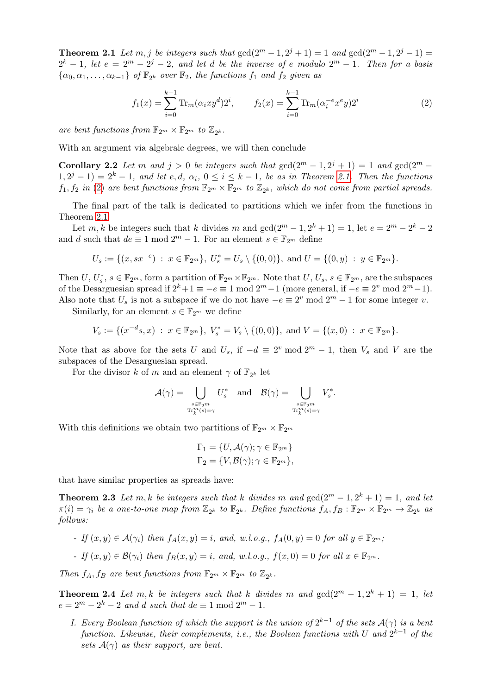**Theorem 2.1** Let  $m, j$  be integers such that  $gcd(2^m - 1, 2^j + 1) = 1$  and  $gcd(2^m - 1, 2^j - 1) =$  $2^k-1$ , let  $e = 2^m - 2^j - 2$ , and let d be the inverse of e modulo  $2^m - 1$ . Then for a basis  $\{\alpha_0, \alpha_1, \ldots, \alpha_{k-1}\}\ of\ \mathbb{F}_{2^k}\ over\ \mathbb{F}_2, the functions\ f_1\ and\ f_2\ given\ as$ 

<span id="page-2-0"></span>
$$
f_1(x) = \sum_{i=0}^{k-1} \text{Tr}_m(\alpha_i x y^d) 2^i, \qquad f_2(x) = \sum_{i=0}^{k-1} \text{Tr}_m(\alpha_i^{-e} x^e y) 2^i
$$
 (2)

are bent functions from  $\mathbb{F}_{2^m} \times \mathbb{F}_{2^m}$  to  $\mathbb{Z}_{2^k}$ .

With an argument via algebraic degrees, we will then conclude

**Corollary 2.2** Let m and  $j > 0$  be integers such that  $gcd(2^m - 1, 2^j + 1) = 1$  and  $gcd(2^m - 1, 2^j + 1)$  $(1, 2^{j} - 1) = 2^{k} - 1$ , and let e, d,  $\alpha_i$ ,  $0 \le i \le k - 1$ , be as in Theorem [2.1.](#page-1-0) Then the functions  $f_1, f_2$  in [\(2\)](#page-2-0) are bent functions from  $\mathbb{F}_{2^m} \times \mathbb{F}_{2^m}$  to  $\mathbb{Z}_{2^k}$ , which do not come from partial spreads.

The final part of the talk is dedicated to partitions which we infer from the functions in Theorem [2.1](#page-1-0)

Let m, k be integers such that k divides m and  $gcd(2^m-1, 2^k+1) = 1$ , let  $e = 2^m - 2^k - 2$ and d such that  $de \equiv 1 \mod 2^m - 1$ . For an element  $s \in \mathbb{F}_{2^m}$  define

$$
U_s := \{ (x, sx^{-e}) \; : \; x \in \mathbb{F}_{2^m} \}, \; U_s^* = U_s \setminus \{ (0, 0) \}, \; \text{and} \; U = \{ (0, y) \; : \; y \in \mathbb{F}_{2^m} \}.
$$

Then  $U, U_s^*, s \in \mathbb{F}_{2^m}$ , form a partition of  $\mathbb{F}_{2^m} \times \mathbb{F}_{2^m}$ . Note that  $U, U_s, s \in \mathbb{F}_{2^m}$ , are the subspaces of the Desarguesian spread if  $2^k + 1 \equiv -e \equiv 1 \mod 2^m - 1$  (more general, if  $-e \equiv 2^v \mod 2^m - 1$ ). Also note that  $U_s$  is not a subspace if we do not have  $-e \equiv 2^v \mod 2^m - 1$  for some integer v.

Similarly, for an element  $s \in \mathbb{F}_{2^m}$  we define

$$
V_s := \{ (x^{-d}s, x) : x \in \mathbb{F}_{2^m} \}, V_s^* = V_s \setminus \{ (0, 0) \}, \text{ and } V = \{ (x, 0) : x \in \mathbb{F}_{2^m} \}.
$$

Note that as above for the sets U and  $U_s$ , if  $-d \equiv 2^v \mod 2^m - 1$ , then  $V_s$  and V are the subspaces of the Desarguesian spread.

For the divisor k of m and an element  $\gamma$  of  $\mathbb{F}_{2^k}$  let

$$
\mathcal{A}(\gamma) = \bigcup_{\substack{s \in \mathbb{F}_{2^m} \\ \operatorname{Tr}_k^m(s) = \gamma}} U_s^* \quad \text{and} \quad \mathcal{B}(\gamma) = \bigcup_{\substack{s \in \mathbb{F}_{2^m} \\ \operatorname{Tr}_k^m(s) = \gamma}} V_s^*.
$$

With this definitions we obtain two partitions of  $\mathbb{F}_{2^m} \times \mathbb{F}_{2^m}$ 

<span id="page-2-1"></span>
$$
\Gamma_1 = \{U, \mathcal{A}(\gamma); \gamma \in \mathbb{F}_{2^m}\}
$$
  

$$
\Gamma_2 = \{V, \mathcal{B}(\gamma); \gamma \in \mathbb{F}_{2^m}\},\
$$

that have similar properties as spreads have:

**Theorem 2.3** Let m, k be integers such that k divides m and  $gcd(2^m - 1, 2^k + 1) = 1$ , and let  $\pi(i) = \gamma_i$  be a one-to-one map from  $\mathbb{Z}_{2^k}$  to  $\mathbb{F}_{2^k}$ . Define functions  $f_A, f_B : \mathbb{F}_{2^m} \times \mathbb{F}_{2^m} \to \mathbb{Z}_{2^k}$  as follows:

- If  $(x, y) \in \mathcal{A}(\gamma_i)$  then  $f_A(x, y) = i$ , and, w.l.o.g.,  $f_A(0, y) = 0$  for all  $y \in \mathbb{F}_{2^m}$ ;
- If  $(x, y) \in \mathcal{B}(\gamma_i)$  then  $f_B(x, y) = i$ , and, w.l.o.g.,  $f(x, 0) = 0$  for all  $x \in \mathbb{F}_{2^m}$ .

Then  $f_A, f_B$  are bent functions from  $\mathbb{F}_{2^m} \times \mathbb{F}_{2^m}$  to  $\mathbb{Z}_{2^k}$ .

<span id="page-2-2"></span>**Theorem 2.4** Let m, k be integers such that k divides m and  $gcd(2^m - 1, 2^k + 1) = 1$ , let  $e = 2^m - 2^k - 2$  and d such that  $de \equiv 1 \mod 2^m - 1$ .

I. Every Boolean function of which the support is the union of  $2^{k-1}$  of the sets  $\mathcal{A}(\gamma)$  is a bent function. Likewise, their complements, i.e., the Boolean functions with U and  $2^{k-1}$  of the sets  $A(\gamma)$  as their support, are bent.